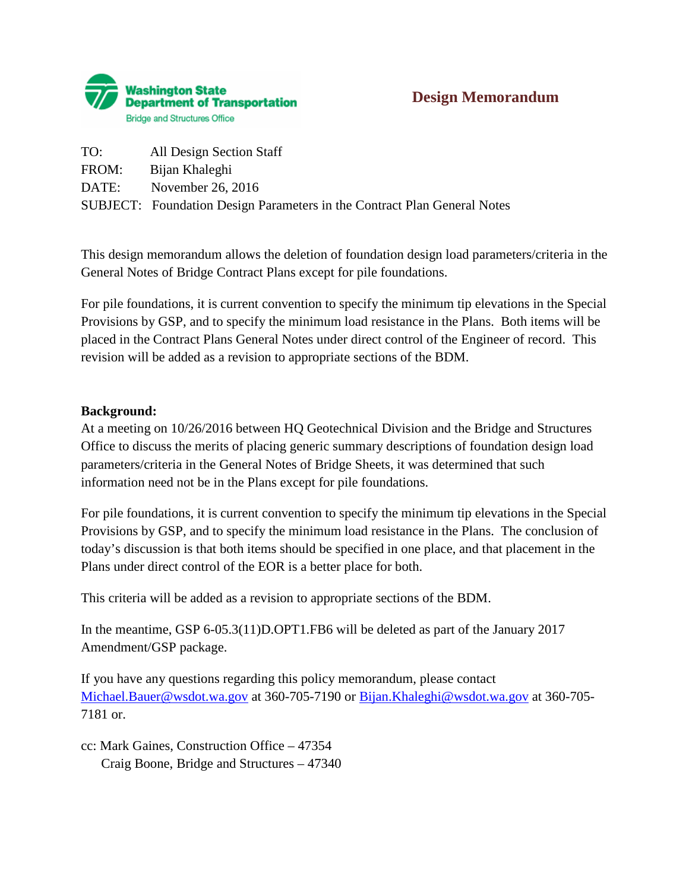

| TO:   | All Design Section Staff                                                        |
|-------|---------------------------------------------------------------------------------|
| FROM: | Bijan Khaleghi                                                                  |
|       | DATE: November 26, 2016                                                         |
|       | <b>SUBJECT:</b> Foundation Design Parameters in the Contract Plan General Notes |

This design memorandum allows the deletion of foundation design load parameters/criteria in the General Notes of Bridge Contract Plans except for pile foundations.

For pile foundations, it is current convention to specify the minimum tip elevations in the Special Provisions by GSP, and to specify the minimum load resistance in the Plans. Both items will be placed in the Contract Plans General Notes under direct control of the Engineer of record. This revision will be added as a revision to appropriate sections of the BDM.

#### **Background:**

At a meeting on 10/26/2016 between HQ Geotechnical Division and the Bridge and Structures Office to discuss the merits of placing generic summary descriptions of foundation design load parameters/criteria in the General Notes of Bridge Sheets, it was determined that such information need not be in the Plans except for pile foundations.

For pile foundations, it is current convention to specify the minimum tip elevations in the Special Provisions by GSP, and to specify the minimum load resistance in the Plans. The conclusion of today's discussion is that both items should be specified in one place, and that placement in the Plans under direct control of the EOR is a better place for both.

This criteria will be added as a revision to appropriate sections of the BDM.

In the meantime, GSP 6-05.3(11)D.OPT1.FB6 will be deleted as part of the January 2017 Amendment/GSP package.

If you have any questions regarding this policy memorandum, please contact [Michael.Bauer@wsdot.wa.gov](mailto:Michael.Bauer@wsdot.wa.gov) at 360-705-7190 or [Bijan.Khaleghi@wsdot.wa.gov](mailto:Bijan.Khaleghi@wsdot.wa.gov) at 360-705- 7181 or.

cc: Mark Gaines, Construction Office – 47354 Craig Boone, Bridge and Structures – 47340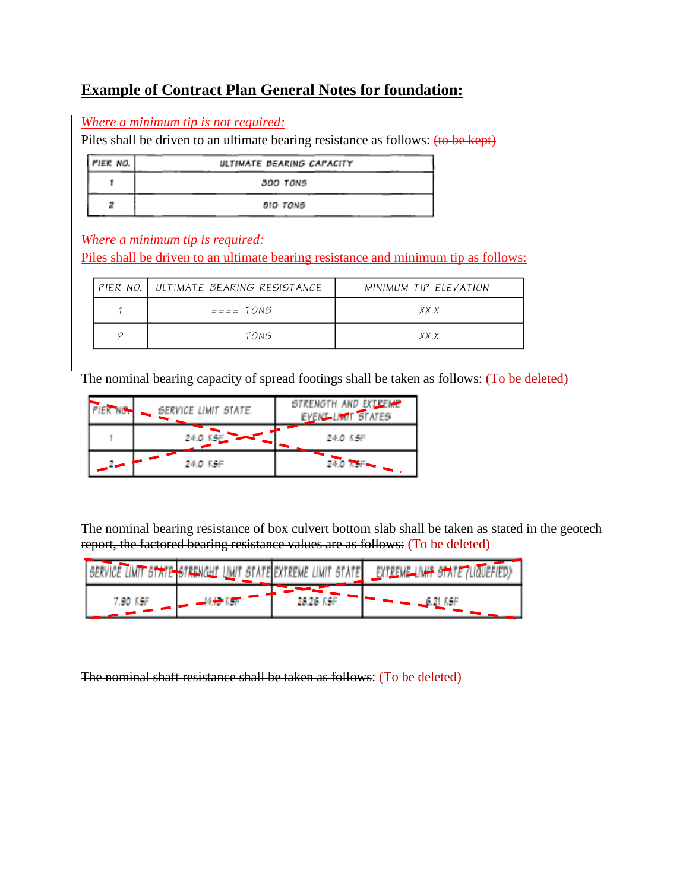## **Example of Contract Plan General Notes for foundation:**

#### *Where a minimum tip is not required:*

Piles shall be driven to an ultimate bearing resistance as follows: (to be kept)

| PIER NO. | ULTIMATE BEARING CAPACITY |
|----------|---------------------------|
|          | 300 TONS                  |
|          | 510 TONS                  |

### *Where a minimum tip is required:*

Piles shall be driven to an ultimate bearing resistance and minimum tip as follows:

|  | PIER NO. ULTIMATE BEARING RESISTANCE | MINIMUM TIP ELEVATION |
|--|--------------------------------------|-----------------------|
|  | $== == TONS$                         | XX.X                  |
|  | $== == TONS$                         | XX.X                  |

The nominal bearing capacity of spread footings shall be taken as follows: (To be deleted)

| <b>PIER NO.</b> | SERVICE LIMIT STATE | STRENGTH AND EXTREME<br>EVENT LIMIT STATES |
|-----------------|---------------------|--------------------------------------------|
|                 | 24.0 KSF            | 24.0 KSF                                   |
| $2\bullet$      | 24.0 KSF            | 24.0 KSF                                   |

The nominal bearing resistance of box culvert bottom slab shall be taken as stated in the geotech report, the factored bearing resistance values are as follows: (To be deleted)

| <b>DOM:</b> | .NIC<br>m | TЕI<br>WF<br>(MI)                       |  |
|-------------|-----------|-----------------------------------------|--|
| 7.00 KSF    |           | 28 26 K C<br><b>BALLAST BANK</b><br>m 1 |  |

The nominal shaft resistance shall be taken as follows: (To be deleted)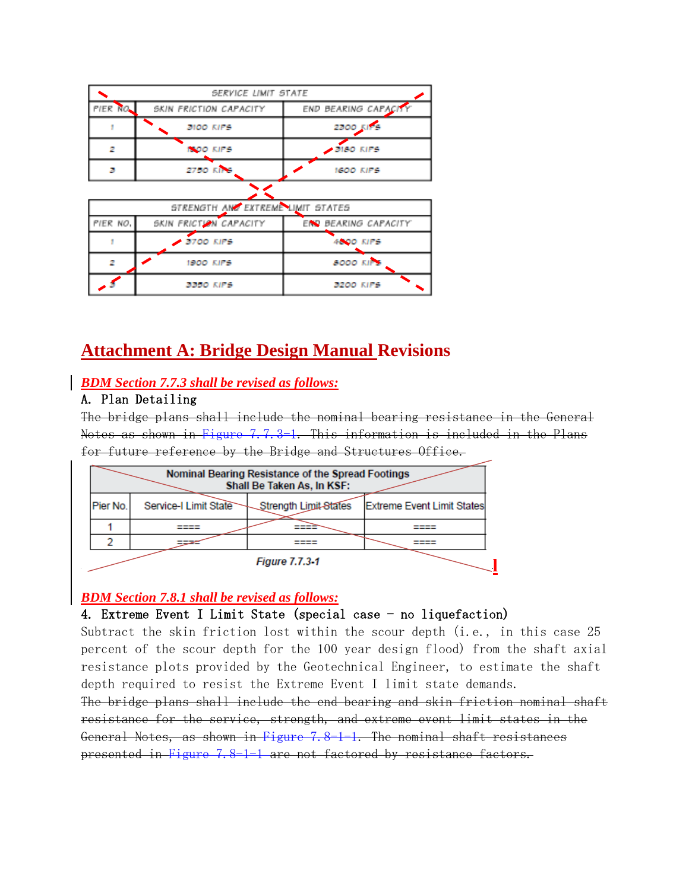|          | SERVICE LIMIT STATE               |                      |
|----------|-----------------------------------|----------------------|
| PIER NO. | SKIN FRICTION CAPACITY            | END BEARING CAPACITY |
|          | 3100 KIPS                         | <b>2300 KIPS</b>     |
|          | <b>INOO KIPS</b>                  | $-3150$ KIPS         |
| в        | <b>2750 KIPS</b>                  | <b>1600 KIPS</b>     |
|          |                                   |                      |
|          | STRENGTH AND EXTREME LIMIT STATES |                      |
| PIER NO. | SKIN FRICTION CAPACITY            | END BEARING CAPACITY |
|          | $2700$ KIPS                       | <b>4600 KIPS</b>     |
| 2        | 1900 KIPS                         | <b>8000 KIPS</b>     |
|          | 3350 KIPS                         | 3200 KIPS            |

# **Attachment A: Bridge Design Manual Revisions**

### *BDM Section 7.7.3 shall be revised as follows:*

#### A. Plan Detailing

The bridge plans shall include the nominal bearing resistance in the General Notes as shown in Figure 7.7.3-1. This information is included in the Plans for future reference by the Bridge and Structures Office.

|          |                       | Nominal Bearing Resistance of the Spread Footings<br>Shall Be Taken As, In KSF: |                                   |
|----------|-----------------------|---------------------------------------------------------------------------------|-----------------------------------|
| Pier No. | Service-I Limit State | Strength Limit-States                                                           | <b>Extreme Event Limit States</b> |
|          |                       |                                                                                 |                                   |
|          |                       |                                                                                 |                                   |
|          |                       | <b>Figure 7.7.3-1</b>                                                           |                                   |

#### *BDM Section 7.8.1 shall be revised as follows:*

#### 4. Extreme Event I Limit State (special case - no liquefaction)

Subtract the skin friction lost within the scour depth (i.e., in this case 25 percent of the scour depth for the 100 year design flood) from the shaft axial resistance plots provided by the Geotechnical Engineer, to estimate the shaft depth required to resist the Extreme Event I limit state demands.

The bridge plans shall include the end bearing and skin friction nominal shaft resistance for the service, strength, and extreme event limit states in the General Notes, as shown in Figure 7.8-1-1. The nominal shaft resistances presented in Figure 7.8-1-1 are not factored by resistance factors.